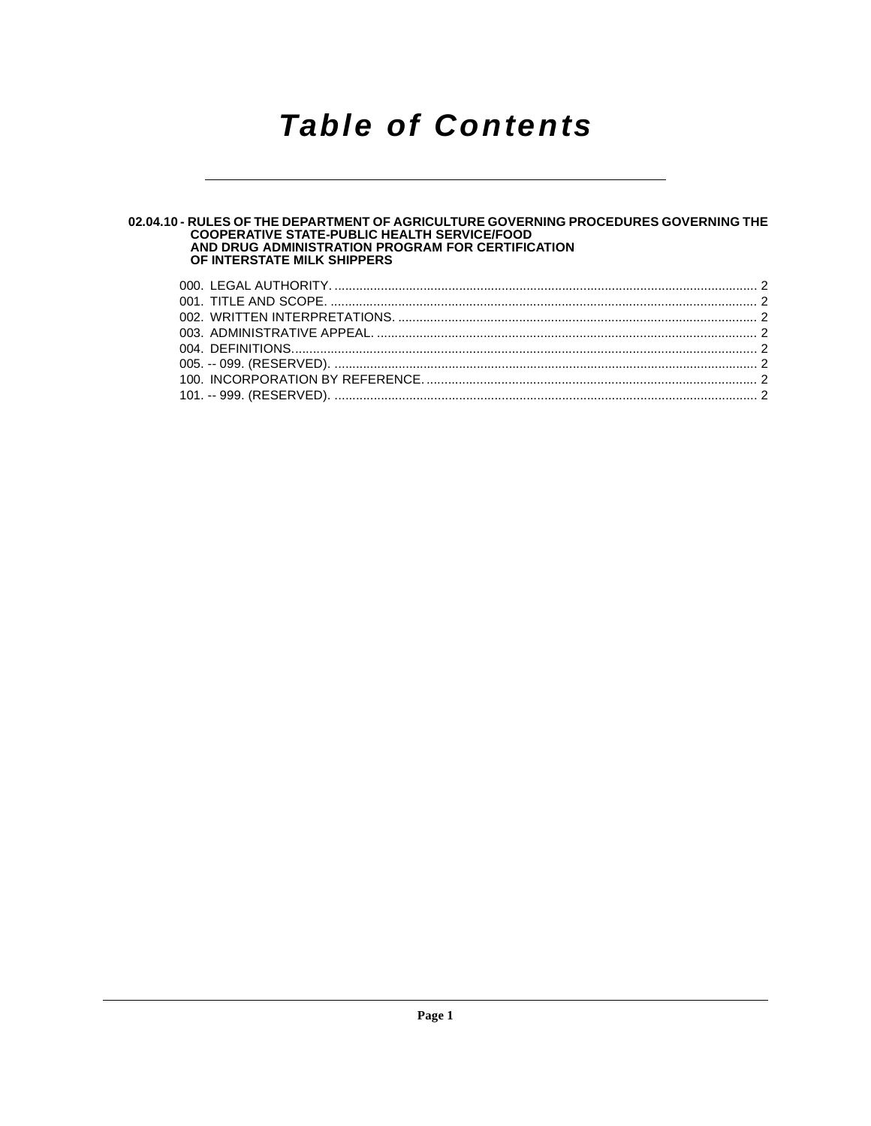## **Table of Contents**

### 02.04.10 - RULES OF THE DEPARTMENT OF AGRICULTURE GOVERNING PROCEDURES GOVERNING THE<br>COOPERATIVE STATE-PUBLIC HEALTH SERVICE/FOOD<br>AND DRUG ADMINISTRATION PROGRAM FOR CERTIFICATION OF INTERSTATE MILK SHIPPERS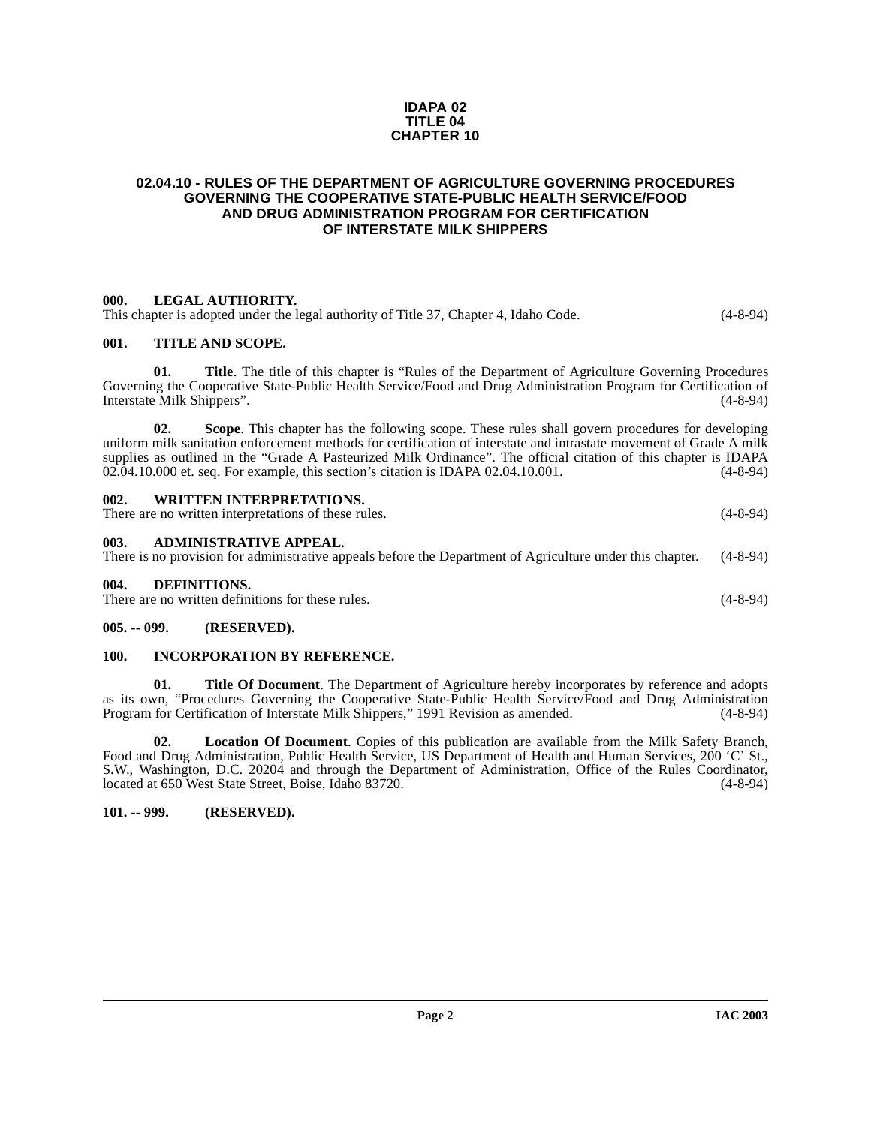#### **IDAPA 02 TITLE 04 CHAPTER 10**

#### <span id="page-1-0"></span>**02.04.10 - RULES OF THE DEPARTMENT OF AGRICULTURE GOVERNING PROCEDURES GOVERNING THE COOPERATIVE STATE-PUBLIC HEALTH SERVICE/FOOD AND DRUG ADMINISTRATION PROGRAM FOR CERTIFICATION OF INTERSTATE MILK SHIPPERS**

#### <span id="page-1-1"></span>**000. LEGAL AUTHORITY.**

This chapter is adopted under the legal authority of Title 37, Chapter 4, Idaho Code. (4-8-94)

#### <span id="page-1-2"></span>**001. TITLE AND SCOPE.**

**01. Title**. The title of this chapter is "Rules of the Department of Agriculture Governing Procedures Governing the Cooperative State-Public Health Service/Food and Drug Administration Program for Certification of Interstate Milk Shippers". (4-8-94)

**02. Scope**. This chapter has the following scope. These rules shall govern procedures for developing uniform milk sanitation enforcement methods for certification of interstate and intrastate movement of Grade A milk supplies as outlined in the "Grade A Pasteurized Milk Ordinance". The official citation of this chapter is IDAPA 02.04.10.000 et. seq. For example, this section's citation is IDAPA 02.04.10.001. (4-8-94)

<span id="page-1-4"></span><span id="page-1-3"></span>

| 002.<br><b>WRITTEN INTERPRETATIONS.</b><br>There are no written interpretations of these rules.                                             | $(4 - 8 - 94)$ |
|---------------------------------------------------------------------------------------------------------------------------------------------|----------------|
| 003.<br>ADMINISTRATIVE APPEAL.<br>There is no provision for administrative appeals before the Department of Agriculture under this chapter. | $(4 - 8 - 94)$ |

There are no written definitions for these rules. (4-8-94)

#### <span id="page-1-6"></span>**005. -- 099. (RESERVED).**

<span id="page-1-9"></span><span id="page-1-5"></span>**004. DEFINITIONS.** 

#### <span id="page-1-7"></span>**100. INCORPORATION BY REFERENCE.**

**01. Title Of Document**. The Department of Agriculture hereby incorporates by reference and adopts as its own, "Procedures Governing the Cooperative State-Public Health Service/Food and Drug Administration Program for Certification of Interstate Milk Shippers," 1991 Revision as amended. (4-8-94)

**02. Location Of Document**. Copies of this publication are available from the Milk Safety Branch, Food and Drug Administration, Public Health Service, US Department of Health and Human Services, 200 'C' St., S.W., Washington, D.C. 20204 and through the Department of Administration, Office of the Rules Coordinator, located at 650 West State Street. Boise, Idaho 83720. (4-8-94) located at 650 West State Street, Boise, Idaho 83720.

#### <span id="page-1-8"></span>**101. -- 999. (RESERVED).**